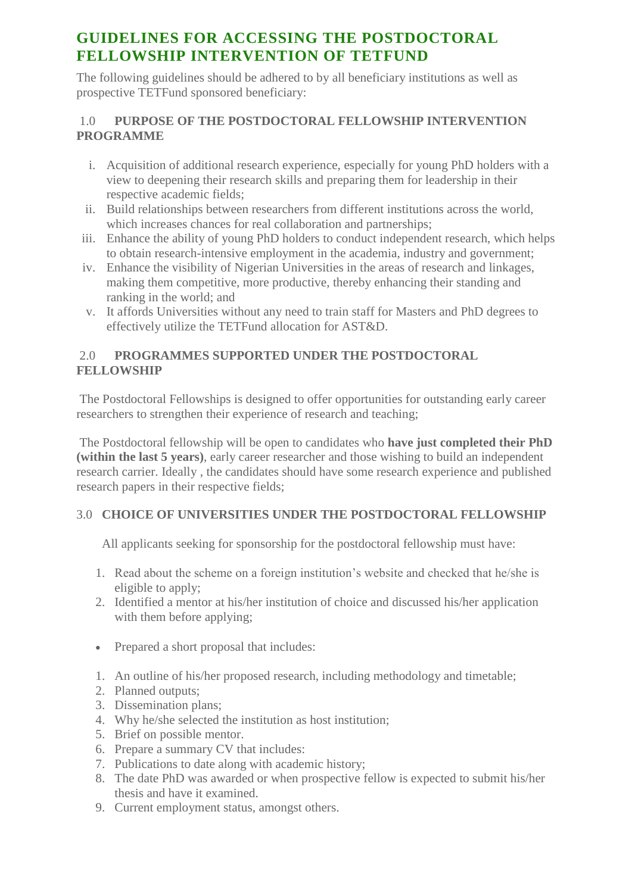# **GUIDELINES FOR ACCESSING THE POSTDOCTORAL FELLOWSHIP INTERVENTION OF TETFUND**

The following guidelines should be adhered to by all beneficiary institutions as well as prospective TETFund sponsored beneficiary:

#### 1.0 **PURPOSE OF THE POSTDOCTORAL FELLOWSHIP INTERVENTION PROGRAMME**

- i. Acquisition of additional research experience, especially for young PhD holders with a view to deepening their research skills and preparing them for leadership in their respective academic fields;
- ii. Build relationships between researchers from different institutions across the world, which increases chances for real collaboration and partnerships;
- iii. Enhance the ability of young PhD holders to conduct independent research, which helps to obtain research-intensive employment in the academia, industry and government;
- iv. Enhance the visibility of Nigerian Universities in the areas of research and linkages, making them competitive, more productive, thereby enhancing their standing and ranking in the world; and
- v. It affords Universities without any need to train staff for Masters and PhD degrees to effectively utilize the TETFund allocation for AST&D.

### 2.0 **PROGRAMMES SUPPORTED UNDER THE POSTDOCTORAL FELLOWSHIP**

The Postdoctoral Fellowships is designed to offer opportunities for outstanding early career researchers to strengthen their experience of research and teaching;

The Postdoctoral fellowship will be open to candidates who **have just completed their PhD (within the last 5 years)**, early career researcher and those wishing to build an independent research carrier. Ideally , the candidates should have some research experience and published research papers in their respective fields;

## 3.0 **CHOICE OF UNIVERSITIES UNDER THE POSTDOCTORAL FELLOWSHIP**

All applicants seeking for sponsorship for the postdoctoral fellowship must have:

- 1. Read about the scheme on a foreign institution's website and checked that he/she is eligible to apply;
- 2. Identified a mentor at his/her institution of choice and discussed his/her application with them before applying;
- Prepared a short proposal that includes:
- 1. An outline of his/her proposed research, including methodology and timetable;
- 2. Planned outputs;
- 3. Dissemination plans;
- 4. Why he/she selected the institution as host institution;
- 5. Brief on possible mentor.
- 6. Prepare a summary CV that includes:
- 7. Publications to date along with academic history;
- 8. The date PhD was awarded or when prospective fellow is expected to submit his/her thesis and have it examined.
- 9. Current employment status, amongst others.